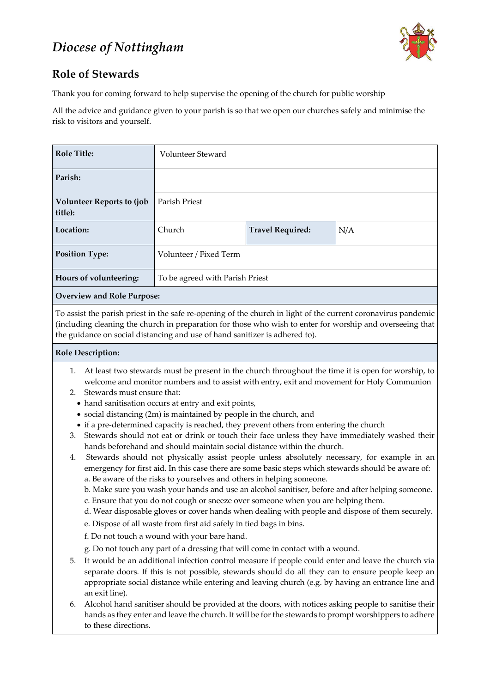# *Diocese of Nottingham*



### **Role of Stewards**

Thank you for coming forward to help supervise the opening of the church for public worship

All the advice and guidance given to your parish is so that we open our churches safely and minimise the risk to visitors and yourself.

| <b>Role Title:</b>                           | <b>Volunteer Steward</b>        |                         |     |
|----------------------------------------------|---------------------------------|-------------------------|-----|
| Parish:                                      |                                 |                         |     |
| <b>Volunteer Reports to (job)</b><br>title): | <b>Parish Priest</b>            |                         |     |
| Location:                                    | Church                          | <b>Travel Required:</b> | N/A |
| <b>Position Type:</b>                        | Volunteer / Fixed Term          |                         |     |
| Hours of volunteering:                       | To be agreed with Parish Priest |                         |     |
| <b>Overview and Role Purpose:</b>            |                                 |                         |     |

To assist the parish priest in the safe re-opening of the church in light of the current coronavirus pandemic (including cleaning the church in preparation for those who wish to enter for worship and overseeing that the guidance on social distancing and use of hand sanitizer is adhered to).

#### **Role Description:**

- 1. At least two stewards must be present in the church throughout the time it is open for worship, to welcome and monitor numbers and to assist with entry, exit and movement for Holy Communion
- 2. Stewards must ensure that:
	- hand sanitisation occurs at entry and exit points,
	- social distancing (2m) is maintained by people in the church, and
	- if a pre-determined capacity is reached, they prevent others from entering the church
- 3. Stewards should not eat or drink or touch their face unless they have immediately washed their hands beforehand and should maintain social distance within the church.
- 4. Stewards should not physically assist people unless absolutely necessary, for example in an emergency for first aid. In this case there are some basic steps which stewards should be aware of: a. Be aware of the risks to yourselves and others in helping someone.
	- b. Make sure you wash your hands and use an alcohol sanitiser, before and after helping someone.
	- c. Ensure that you do not cough or sneeze over someone when you are helping them.
	- d. Wear disposable gloves or cover hands when dealing with people and dispose of them securely.
	-

e. Dispose of all waste from first aid safely in tied bags in bins. f. Do not touch a wound with your bare hand.

g. Do not touch any part of a dressing that will come in contact with a wound.

- 5. It would be an additional infection control measure if people could enter and leave the church via separate doors. If this is not possible, stewards should do all they can to ensure people keep an appropriate social distance while entering and leaving church (e.g. by having an entrance line and an exit line).
- 6. Alcohol hand sanitiser should be provided at the doors, with notices asking people to sanitise their hands as they enter and leave the church. It will be for the stewards to prompt worshippers to adhere to these directions.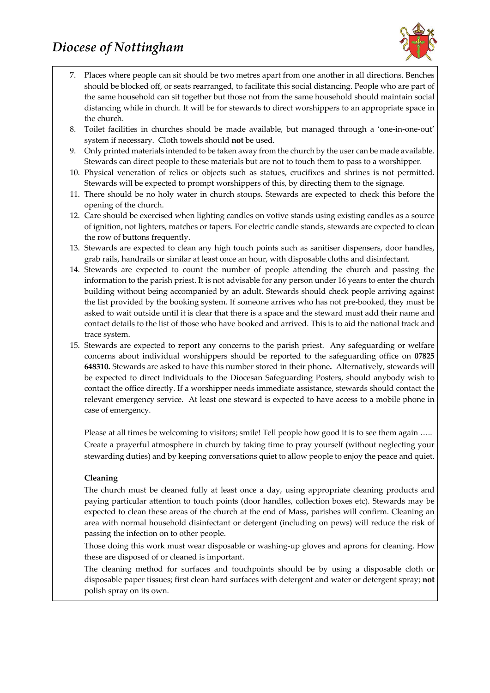# *Diocese of Nottingham*



- 7. Places where people can sit should be two metres apart from one another in all directions. Benches should be blocked off, or seats rearranged, to facilitate this social distancing. People who are part of the same household can sit together but those not from the same household should maintain social distancing while in church. It will be for stewards to direct worshippers to an appropriate space in the church.
- 8. Toilet facilities in churches should be made available, but managed through a 'one-in-one-out' system if necessary. Cloth towels should **not** be used.
- 9. Only printed materials intended to be taken away from the church by the user can be made available. Stewards can direct people to these materials but are not to touch them to pass to a worshipper.
- 10. Physical veneration of relics or objects such as statues, crucifixes and shrines is not permitted. Stewards will be expected to prompt worshippers of this, by directing them to the signage.
- 11. There should be no holy water in church stoups. Stewards are expected to check this before the opening of the church.
- 12. Care should be exercised when lighting candles on votive stands using existing candles as a source of ignition, not lighters, matches or tapers. For electric candle stands, stewards are expected to clean the row of buttons frequently.
- 13. Stewards are expected to clean any high touch points such as sanitiser dispensers, door handles, grab rails, handrails or similar at least once an hour, with disposable cloths and disinfectant.
- 14. Stewards are expected to count the number of people attending the church and passing the information to the parish priest. It is not advisable for any person under 16 years to enter the church building without being accompanied by an adult. Stewards should check people arriving against the list provided by the booking system. If someone arrives who has not pre-booked, they must be asked to wait outside until it is clear that there is a space and the steward must add their name and contact details to the list of those who have booked and arrived. This is to aid the national track and trace system.
- 15. Stewards are expected to report any concerns to the parish priest. Any safeguarding or welfare concerns about individual worshippers should be reported to the safeguarding office on **07825 648310.** Stewards are asked to have this number stored in their phone**.** Alternatively, stewards will be expected to direct individuals to the Diocesan Safeguarding Posters, should anybody wish to contact the office directly. If a worshipper needs immediate assistance, stewards should contact the relevant emergency service.At least one steward is expected to have access to a mobile phone in case of emergency.

Please at all times be welcoming to visitors; smile! Tell people how good it is to see them again ….. Create a prayerful atmosphere in church by taking time to pray yourself (without neglecting your stewarding duties) and by keeping conversations quiet to allow people to enjoy the peace and quiet.

#### **Cleaning**

The church must be cleaned fully at least once a day, using appropriate cleaning products and paying particular attention to touch points (door handles, collection boxes etc). Stewards may be expected to clean these areas of the church at the end of Mass, parishes will confirm. Cleaning an area with normal household disinfectant or detergent (including on pews) will reduce the risk of passing the infection on to other people.

Those doing this work must wear disposable or washing-up gloves and aprons for cleaning. How these are disposed of or cleaned is important.

The cleaning method for surfaces and touchpoints should be by using a disposable cloth or disposable paper tissues; first clean hard surfaces with detergent and water or detergent spray; **not**  polish spray on its own.